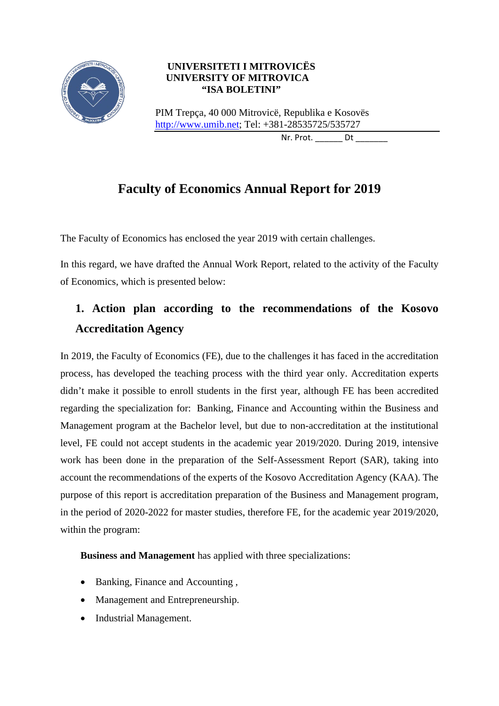

# **UNIVERSITETI I MITROVICËS UNIVERSITY OF MITROVICA "ISA BOLETINI"**

PIM Trepça, 40 000 Mitrovicë, Republika e Kosovës [http://www.umib.net;](http://www.umib.net/) Tel: +381-28535725/535727

Nr. Prot. Dt

# **Faculty of Economics Annual Report for 2019**

The Faculty of Economics has enclosed the year 2019 with certain challenges.

In this regard, we have drafted the Annual Work Report, related to the activity of the Faculty of Economics, which is presented below:

# **1. Action plan according to the recommendations of the Kosovo Accreditation Agency**

In 2019, the Faculty of Economics (FE), due to the challenges it has faced in the accreditation process, has developed the teaching process with the third year only. Accreditation experts didn't make it possible to enroll students in the first year, although FE has been accredited regarding the specialization for: Banking, Finance and Accounting within the Business and Management program at the Bachelor level, but due to non-accreditation at the institutional level, FE could not accept students in the academic year 2019/2020. During 2019, intensive work has been done in the preparation of the Self-Assessment Report (SAR), taking into account the recommendations of the experts of the Kosovo Accreditation Agency (KAA). The purpose of this report is accreditation preparation of the Business and Management program, in the period of 2020-2022 for master studies, therefore FE, for the academic year 2019/2020, within the program:

**Business and Management** has applied with three specializations:

- Banking, Finance and Accounting ,
- Management and Entrepreneurship.
- Industrial Management.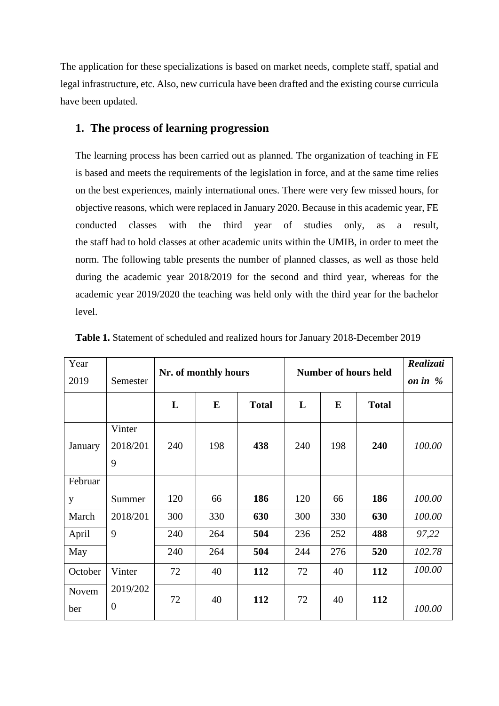The application for these specializations is based on market needs, complete staff, spatial and legal infrastructure, etc. Also, new curricula have been drafted and the existing course curricula have been updated.

# **1. The process of learning progression**

The learning process has been carried out as planned. The organization of teaching in FE is based and meets the requirements of the legislation in force, and at the same time relies on the best experiences, mainly international ones. There were very few missed hours, for objective reasons, which were replaced in January 2020. Because in this academic year, FE conducted classes with the third year of studies only, as a result, the staff had to hold classes at other academic units within the UMIB, in order to meet the norm. The following table presents the number of planned classes, as well as those held during the academic year 2018/2019 for the second and third year, whereas for the academic year 2019/2020 the teaching was held only with the third year for the bachelor level.

| Year<br>2019 | Semester                   | Nr. of monthly hours |           |              | <b>Number of hours held</b> |     |              | Realizati<br>on in $%$ |
|--------------|----------------------------|----------------------|-----------|--------------|-----------------------------|-----|--------------|------------------------|
|              |                            | L                    | ${\bf E}$ | <b>Total</b> | L                           | E   | <b>Total</b> |                        |
| January      | Vinter<br>2018/201<br>9    | 240                  | 198       | 438          | 240                         | 198 | 240          | 100.00                 |
| Februar      |                            |                      |           |              |                             |     |              |                        |
| y            | Summer                     | 120                  | 66        | 186          | 120                         | 66  | 186          | 100.00                 |
| March        | 2018/201                   | 300                  | 330       | 630          | 300                         | 330 | 630          | 100.00                 |
| April        | 9                          | 240                  | 264       | 504          | 236                         | 252 | 488          | 97,22                  |
| May          |                            | 240                  | 264       | 504          | 244                         | 276 | 520          | 102.78                 |
| October      | Vinter                     | 72                   | 40        | 112          | 72                          | 40  | 112          | 100.00                 |
| Novem<br>ber | 2019/202<br>$\overline{0}$ | 72                   | 40        | 112          | 72                          | 40  | 112          | 100.00                 |

**Table 1.** Statement of scheduled and realized hours for January 2018-December 2019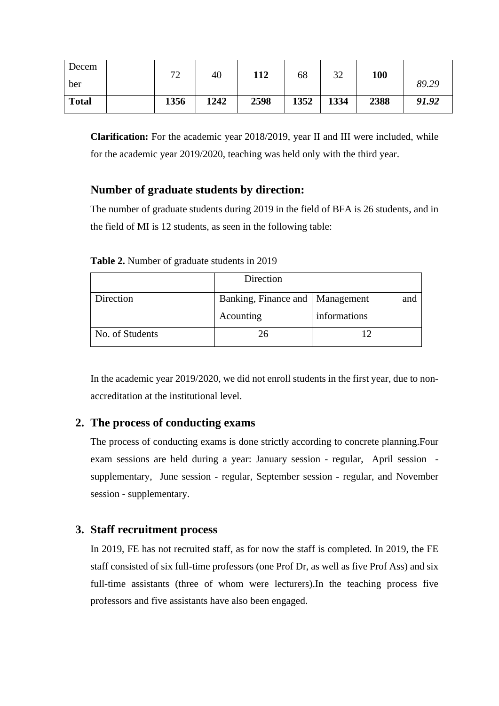| Decem        | $\neg \land$<br>∸ | 40   | 112  | 68   | 37<br>ے ر | 100  |       |
|--------------|-------------------|------|------|------|-----------|------|-------|
| ber          |                   |      |      |      |           |      | 89.29 |
| <b>Total</b> | 1356              | 1242 | 2598 | 1352 | 1334      | 2388 | 91.92 |

**Clarification:** For the academic year 2018/2019, year II and III were included, while for the academic year 2019/2020, teaching was held only with the third year.

# **Number of graduate students by direction:**

The number of graduate students during 2019 in the field of BFA is 26 students, and in the field of MI is 12 students, as seen in the following table:

|                 | Direction                         |              |
|-----------------|-----------------------------------|--------------|
| Direction       | Banking, Finance and   Management | and          |
|                 | Acounting                         | informations |
| No. of Students | 26                                |              |

**Table 2.** Number of graduate students in 2019

In the academic year 2019/2020, we did not enroll students in the first year, due to nonaccreditation at the institutional level.

## **2. The process of conducting exams**

The process of conducting exams is done strictly according to concrete planning.Four exam sessions are held during a year: January session - regular, April session supplementary, June session - regular, September session - regular, and November session - supplementary.

## **3. Staff recruitment process**

In 2019, FE has not recruited staff, as for now the staff is completed. In 2019, the FE staff consisted of six full-time professors (one Prof Dr, as well as five Prof Ass) and six full-time assistants (three of whom were lecturers).In the teaching process five professors and five assistants have also been engaged.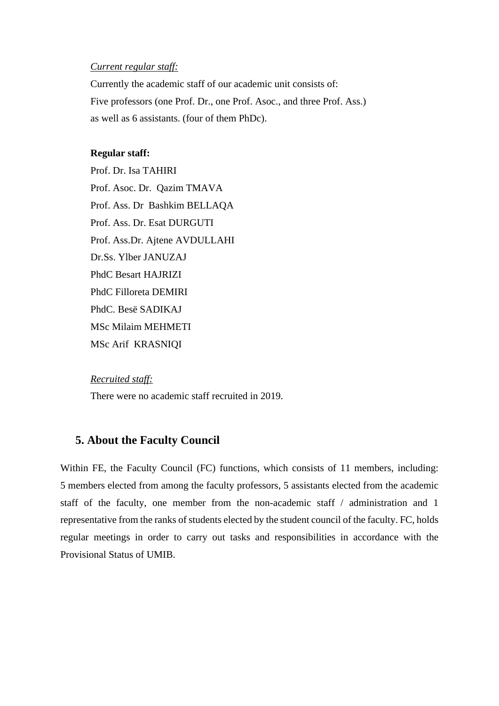#### *Current regular staff:*

Currently the academic staff of our academic unit consists of: Five professors (one Prof. Dr., one Prof. Asoc., and three Prof. Ass.) as well as 6 assistants. (four of them PhDc).

#### **Regular staff:**

Prof. Dr. Isa TAHIRI Prof. Asoc. Dr. Qazim TMAVA Prof. Ass. Dr Bashkim BELLAQA Prof. Ass. Dr. Esat DURGUTI Prof. Ass.Dr. Ajtene AVDULLAHI Dr.Ss. Ylber JANUZAJ PhdC Besart HAJRIZI PhdC Filloreta DEMIRI PhdC. Besë SADIKAJ MSc Milaim MEHMETI MSc Arif KRASNIQI

#### *Recruited staff:*

There were no academic staff recruited in 2019.

### **5. About the Faculty Council**

Within FE, the Faculty Council (FC) functions, which consists of 11 members, including: 5 members elected from among the faculty professors, 5 assistants elected from the academic staff of the faculty, one member from the non-academic staff / administration and 1 representative from the ranks of students elected by the student council of the faculty. FC, holds regular meetings in order to carry out tasks and responsibilities in accordance with the Provisional Status of UMIB.